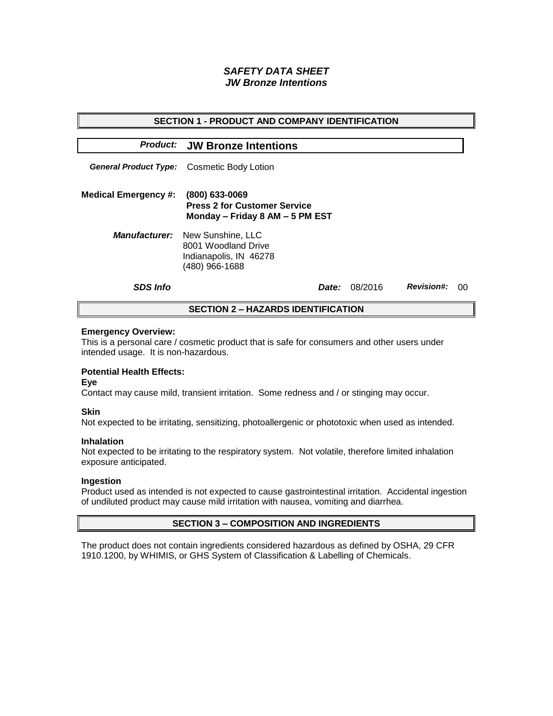# *SAFETY DATA SHEET JW Bronze Intentions*

| <b>SECTION 1 - PRODUCT AND COMPANY IDENTIFICATION</b> |                                                                                                           |  |         |                   |    |  |  |
|-------------------------------------------------------|-----------------------------------------------------------------------------------------------------------|--|---------|-------------------|----|--|--|
|                                                       | <b>Product: JW Bronze Intentions</b>                                                                      |  |         |                   |    |  |  |
|                                                       | General Product Type: Cosmetic Body Lotion                                                                |  |         |                   |    |  |  |
| <b>Medical Emergency #:</b>                           | (800) 633-0069<br><b>Press 2 for Customer Service</b><br>Monday - Friday 8 AM - 5 PM EST                  |  |         |                   |    |  |  |
|                                                       | <b>Manufacturer:</b> New Sunshine, LLC<br>8001 Woodland Drive<br>Indianapolis, IN 46278<br>(480) 966-1688 |  |         |                   |    |  |  |
| <b>SDS Info</b>                                       | <i>Date:</i>                                                                                              |  | 08/2016 | <b>Revision#:</b> | ററ |  |  |
| <b>SECTION 2 – HAZARDS IDENTIFICATION</b>             |                                                                                                           |  |         |                   |    |  |  |

#### **Emergency Overview:**

This is a personal care / cosmetic product that is safe for consumers and other users under intended usage. It is non-hazardous.

## **Potential Health Effects:**

**Eye**

Contact may cause mild, transient irritation. Some redness and / or stinging may occur.

## **Skin**

Not expected to be irritating, sensitizing, photoallergenic or phototoxic when used as intended.

#### **Inhalation**

Not expected to be irritating to the respiratory system. Not volatile, therefore limited inhalation exposure anticipated.

## **Ingestion**

Product used as intended is not expected to cause gastrointestinal irritation. Accidental ingestion of undiluted product may cause mild irritation with nausea, vomiting and diarrhea.

## **SECTION 3 – COMPOSITION AND INGREDIENTS**

The product does not contain ingredients considered hazardous as defined by OSHA, 29 CFR 1910.1200, by WHIMIS, or GHS System of Classification & Labelling of Chemicals.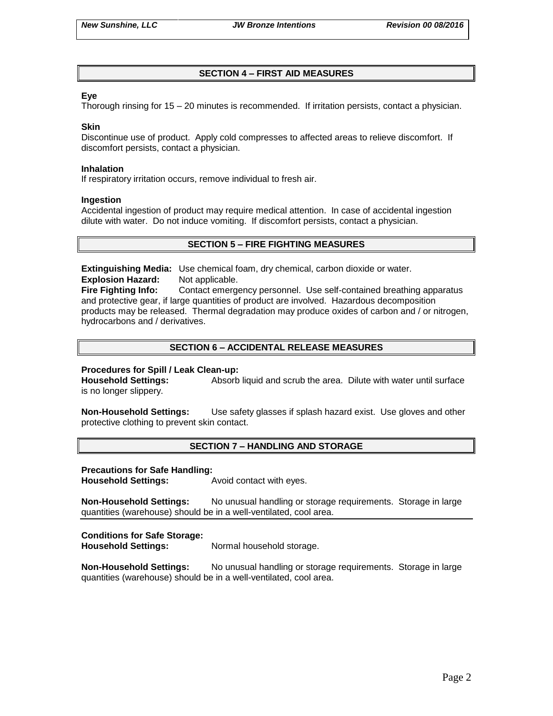## **SECTION 4 – FIRST AID MEASURES**

## **Eye**

Thorough rinsing for 15 – 20 minutes is recommended. If irritation persists, contact a physician.

### **Skin**

Discontinue use of product. Apply cold compresses to affected areas to relieve discomfort. If discomfort persists, contact a physician.

#### **Inhalation**

If respiratory irritation occurs, remove individual to fresh air.

#### **Ingestion**

Accidental ingestion of product may require medical attention. In case of accidental ingestion dilute with water. Do not induce vomiting. If discomfort persists, contact a physician.

## **SECTION 5 – FIRE FIGHTING MEASURES**

**Extinguishing Media:** Use chemical foam, dry chemical, carbon dioxide or water. **Explosion Hazard:** Not applicable.

**Fire Fighting Info:** Contact emergency personnel. Use self-contained breathing apparatus and protective gear, if large quantities of product are involved. Hazardous decomposition products may be released. Thermal degradation may produce oxides of carbon and / or nitrogen, hydrocarbons and / derivatives.

## **SECTION 6 – ACCIDENTAL RELEASE MEASURES**

## **Procedures for Spill / Leak Clean-up:**

**Household Settings:** Absorb liquid and scrub the area. Dilute with water until surface is no longer slippery.

**Non-Household Settings:** Use safety glasses if splash hazard exist. Use gloves and other protective clothing to prevent skin contact.

## **SECTION 7 – HANDLING AND STORAGE**

#### **Precautions for Safe Handling:**

**Household Settings:** Avoid contact with eyes.

**Non-Household Settings:** No unusual handling or storage requirements. Storage in large quantities (warehouse) should be in a well-ventilated, cool area.

## **Conditions for Safe Storage:**

**Household Settings:** Normal household storage.

**Non-Household Settings:** No unusual handling or storage requirements. Storage in large quantities (warehouse) should be in a well-ventilated, cool area.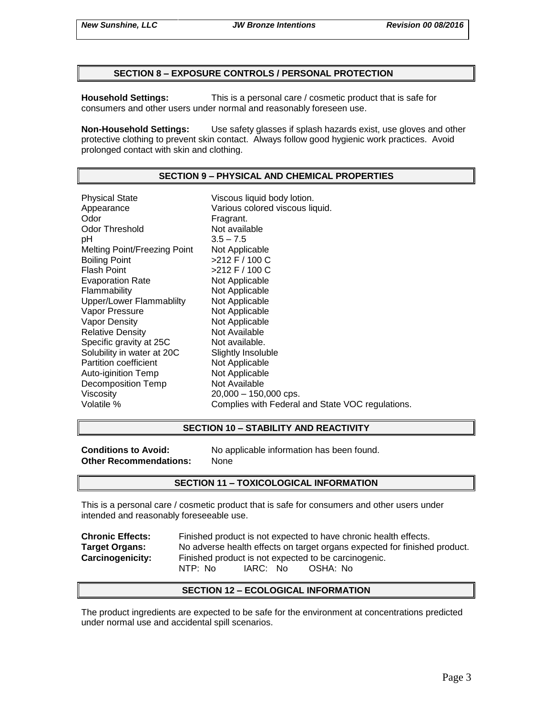## **SECTION 8 – EXPOSURE CONTROLS / PERSONAL PROTECTION**

**Household Settings:** This is a personal care / cosmetic product that is safe for consumers and other users under normal and reasonably foreseen use.

**Non-Household Settings:** Use safety glasses if splash hazards exist, use gloves and other protective clothing to prevent skin contact. Always follow good hygienic work practices. Avoid prolonged contact with skin and clothing.

# **SECTION 9 – PHYSICAL AND CHEMICAL PROPERTIES**

Physical State Viscous liquid body lotion. Appearance **Various colored viscous liquid.**<br>
Odor Communication Colore Fragrant. Odor Threshold Not available pH 3.5 – 7.5 Melting Point/Freezing Point Not Applicable Boiling Point >212 F / 100 C Flash Point  $>212$  F / 100 C Evaporation Rate Not Applicable Flammability Not Applicable Upper/Lower Flammablilty Not Applicable Vapor Pressure Not Applicable Vapor Density Not Applicable Relative Density Not Available Specific gravity at 25C Not available. Solubility in water at 20C Slightly Insoluble<br>
Partition coefficient
Subsetted Not Applicable Partition coefficient Auto-iginition Temp Not Applicable Decomposition Temp Not Available Viscosity 20,000 – 150,000 cps. Volatile % Complies with Federal and State VOC regulations.

# **SECTION 10 – STABILITY AND REACTIVITY**

**Other Recommendations:** None

**Conditions to Avoid:** No applicable information has been found.

# **SECTION 11 – TOXICOLOGICAL INFORMATION**

This is a personal care / cosmetic product that is safe for consumers and other users under intended and reasonably foreseeable use.

**Chronic Effects:** Finished product is not expected to have chronic health effects. **Target Organs:** No adverse health effects on target organs expected for finished product. **Carcinogenicity:** Finished product is not expected to be carcinogenic. NTP: No IARC: No OSHA: No

# **SECTION 12 – ECOLOGICAL INFORMATION**

The product ingredients are expected to be safe for the environment at concentrations predicted under normal use and accidental spill scenarios.